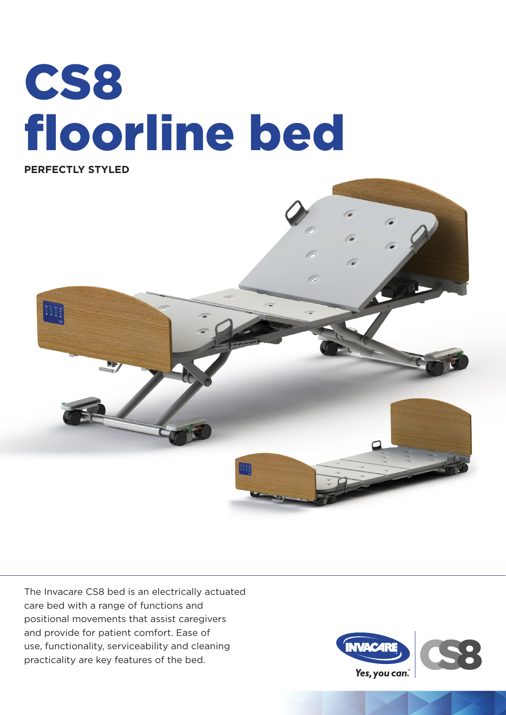# CS8 floorline bed



The Invacare CS8 bed is an electrically actuated care bed with a range of functions and positional movements that assist caregivers and provide for patient comfort. Ease of use, functionality, serviceability and cleaning practicality are key features of the bed.